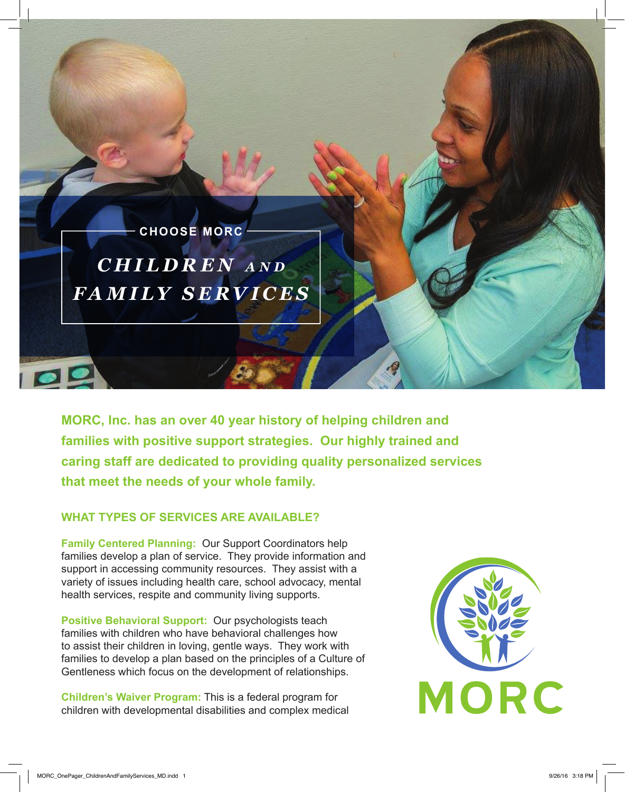*CHILDREN a n d FAMILY SERVICES* **CHOOSE MORC**

**MORC, Inc. has an over 40 year history of helping children and families with positive support strategies. Our highly trained and caring staff are dedicated to providing quality personalized services that meet the needs of your whole family.**

# **WHAT TYPES OF SERVICES ARE AVAILABLE?**

**Family Centered Planning:** Our Support Coordinators help families develop a plan of service. They provide information and support in accessing community resources. They assist with a variety of issues including health care, school advocacy, mental health services, respite and community living supports.

**Positive Behavioral Support:** Our psychologists teach families with children who have behavioral challenges how to assist their children in loving, gentle ways. They work with families to develop a plan based on the principles of a Culture of Gentleness which focus on the development of relationships.

**Children's Waiver Program:** This is a federal program for children with developmental disabilities and complex medical